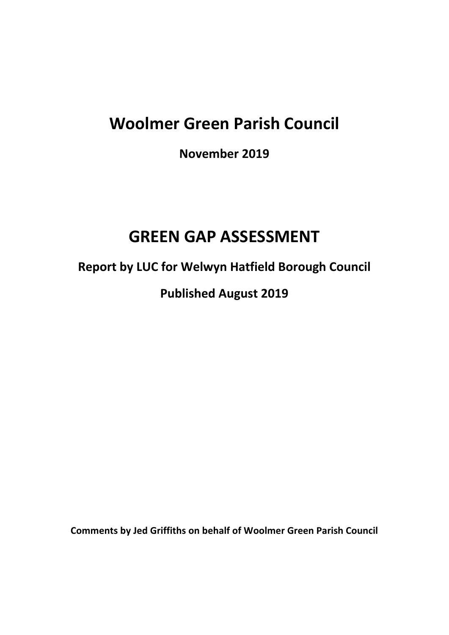# **Woolmer Green Parish Council**

**November 2019**

## **GREEN GAP ASSESSMENT**

**Report by LUC for Welwyn Hatfield Borough Council**

**Published August 2019**

**Comments by Jed Griffiths on behalf of Woolmer Green Parish Council**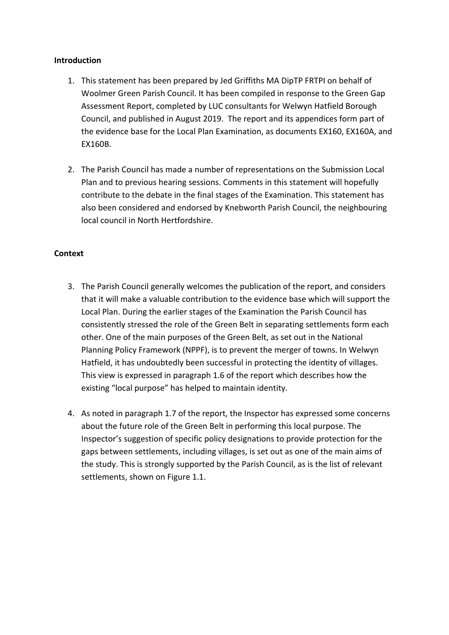#### **Introduction**

- 1. This statement has been prepared by Jed Griffiths MA DipTP FRTPI on behalf of Woolmer Green Parish Council. It has been compiled in response to the Green Gap Assessment Report, completed by LUC consultants for Welwyn Hatfield Borough Council, and published in August 2019. The report and its appendices form part of the evidence base for the Local Plan Examination, as documents EX160, EX160A, and EX160B.
- 2. The Parish Council has made a number of representations on the Submission Local Plan and to previous hearing sessions. Comments in this statement will hopefully contribute to the debate in the final stages of the Examination. This statement has also been considered and endorsed by Knebworth Parish Council, the neighbouring local council in North Hertfordshire.

## **Context**

- 3. The Parish Council generally welcomes the publication of the report, and considers that it will make a valuable contribution to the evidence base which will support the Local Plan. During the earlier stages of the Examination the Parish Council has consistently stressed the role of the Green Belt in separating settlements form each other. One of the main purposes of the Green Belt, as set out in the National Planning Policy Framework (NPPF), is to prevent the merger of towns. In Welwyn Hatfield, it has undoubtedly been successful in protecting the identity of villages. This view is expressed in paragraph 1.6 of the report which describes how the existing "local purpose" has helped to maintain identity.
- 4. As noted in paragraph 1.7 of the report, the Inspector has expressed some concerns about the future role of the Green Belt in performing this local purpose. The Inspector's suggestion of specific policy designations to provide protection for the gaps between settlements, including villages, is set out as one of the main aims of the study. This is strongly supported by the Parish Council, as is the list of relevant settlements, shown on Figure 1.1.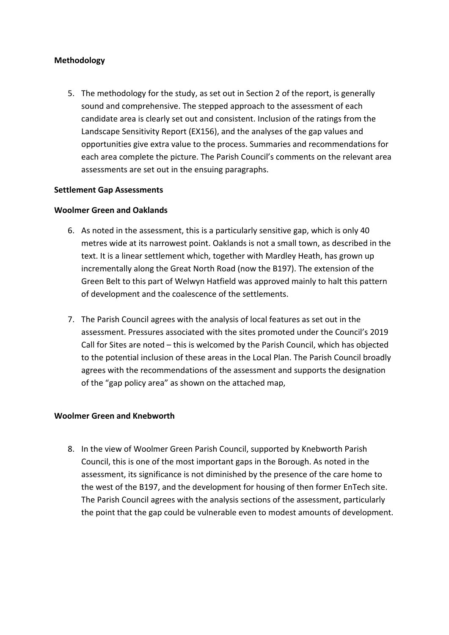#### **Methodology**

5. The methodology for the study, as set out in Section 2 of the report, is generally sound and comprehensive. The stepped approach to the assessment of each candidate area is clearly set out and consistent. Inclusion of the ratings from the Landscape Sensitivity Report (EX156), and the analyses of the gap values and opportunities give extra value to the process. Summaries and recommendations for each area complete the picture. The Parish Council's comments on the relevant area assessments are set out in the ensuing paragraphs.

#### **Settlement Gap Assessments**

#### **Woolmer Green and Oaklands**

- 6. As noted in the assessment, this is a particularly sensitive gap, which is only 40 metres wide at its narrowest point. Oaklands is not a small town, as described in the text. It is a linear settlement which, together with Mardley Heath, has grown up incrementally along the Great North Road (now the B197). The extension of the Green Belt to this part of Welwyn Hatfield was approved mainly to halt this pattern of development and the coalescence of the settlements.
- 7. The Parish Council agrees with the analysis of local features as set out in the assessment. Pressures associated with the sites promoted under the Council's 2019 Call for Sites are noted – this is welcomed by the Parish Council, which has objected to the potential inclusion of these areas in the Local Plan. The Parish Council broadly agrees with the recommendations of the assessment and supports the designation of the "gap policy area" as shown on the attached map,

#### **Woolmer Green and Knebworth**

8. In the view of Woolmer Green Parish Council, supported by Knebworth Parish Council, this is one of the most important gaps in the Borough. As noted in the assessment, its significance is not diminished by the presence of the care home to the west of the B197, and the development for housing of then former EnTech site. The Parish Council agrees with the analysis sections of the assessment, particularly the point that the gap could be vulnerable even to modest amounts of development.